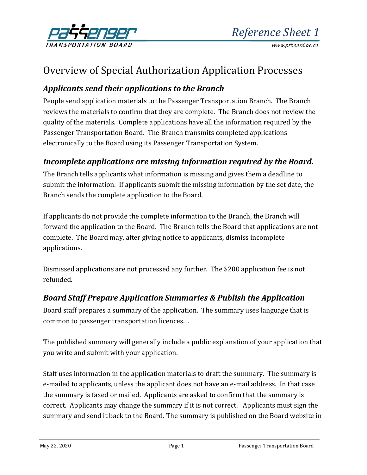

# Overview of Special Authorization Application Processes

# *Applicants send their applications to the Branch*

People send application materials to the Passenger Transportation Branch. The Branch reviews the materials to confirm that they are complete. The Branch does not review the quality of the materials. Complete applications have all the information required by the Passenger Transportation Board. The Branch transmits completed applications electronically to the Board using its Passenger Transportation System.

#### *Incomplete applications are missing information required by the Board.*

The Branch tells applicants what information is missing and gives them a deadline to submit the information. If applicants submit the missing information by the set date, the Branch sends the complete application to the Board.

If applicants do not provide the complete information to the Branch, the Branch will forward the application to the Board. The Branch tells the Board that applications are not complete. The Board may, after giving notice to applicants, dismiss incomplete applications.

Dismissed applications are not processed any further. The \$200 application fee is not refunded.

#### *Board Staff Prepare Application Summaries & Publish the Application*

Board staff prepares a summary of the application. The summary uses language that is common to passenger transportation licences. .

The published summary will generally include a public explanation of your application that you write and submit with your application.

Staff uses information in the application materials to draft the summary. The summary is e-mailed to applicants, unless the applicant does not have an e-mail address. In that case the summary is faxed or mailed. Applicants are asked to confirm that the summary is correct. Applicants may change the summary if it is not correct. Applicants must sign the summary and send it back to the Board. The summary is published on the Board website in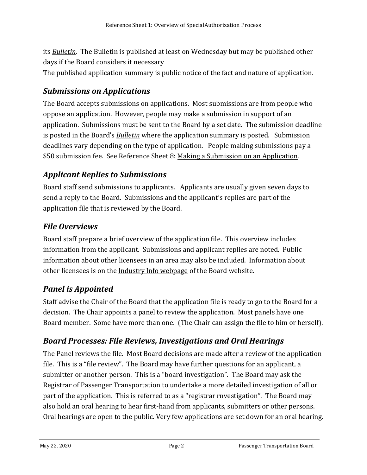its *[Bulletin](https://www.ptboard.bc.ca/bulletins.htm)*. The Bulletin is published at least on Wednesday but may be published other days if the Board considers it necessary The published application summary is public notice of the fact and nature of application.

#### *Submissions on Applications*

The Board accepts submissions on applications. Most submissions are from people who oppose an application. However, people may make a submission in support of an application. Submissions must be sent to the Board by a set date. The submission deadline is posted in the Board's *[Bulletin](https://www.ptboard.bc.ca/bulletins.htm)* where the application summary is posted. Submission deadlines vary depending on the type of application. People making submissions pay a \$50 submission fee. See Reference Sheet 8: [Making a Submission on an Application.](http://www.th.gov.bc.ca/forms/getForm.aspx?formId=1198)

## *Applicant Replies to Submissions*

Board staff send submissions to applicants. Applicants are usually given seven days to send a reply to the Board. Submissions and the applicant's replies are part of the application file that is reviewed by the Board.

#### *File Overviews*

Board staff prepare a brief overview of the application file. This overview includes information from the applicant. Submissions and applicant replies are noted. Public information about other licensees in an area may also be included. Information about other licensees is on the [Industry Info](http://www.th.gov.bc.ca/ptb/operators.htm) webpage of the Board website.

## *Panel is Appointed*

Staff advise the Chair of the Board that the application file is ready to go to the Board for a decision. The Chair appoints a panel to review the application. Most panels have one Board member. Some have more than one. (The Chair can assign the file to him or herself).

## *Board Processes: File Reviews, Investigations and Oral Hearings*

The Panel reviews the file. Most Board decisions are made after a review of the application file. This is a "file review". The Board may have further questions for an applicant, a submitter or another person. This is a "board investigation". The Board may ask the Registrar of Passenger Transportation to undertake a more detailed investigation of all or part of the application. This is referred to as a "registrar rnvestigation". The Board may also hold an oral hearing to hear first-hand from applicants, submitters or other persons. Oral hearings are open to the public. Very few applications are set down for an oral hearing.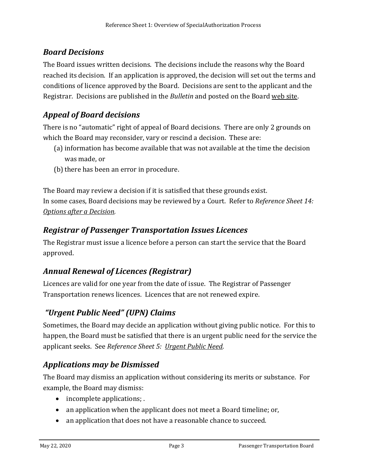# *Board Decisions*

The Board issues written decisions. The decisions include the reasons why the Board reached its decision. If an application is approved, the decision will set out the terms and conditions of licence approved by the Board. Decisions are sent to the applicant and the Registrar. Decisions are published in the *Bulletin* and posted on the Board [web site.](https://www.th.gov.bc.ca/ptb/bulletins.htm) 

# *Appeal of Board decisions*

There is no "automatic" right of appeal of Board decisions. There are only 2 grounds on which the Board may reconsider, vary or rescind a decision. These are:

- (a) information has become available that was not available at the time the decision was made, or
- (b) there has been an error in procedure.

The Board may review a decision if it is satisfied that these grounds exist. In some cases, Board decisions may be reviewed by a Court. Refer to *Reference Sheet 14: [Options after a Decision.](http://www.th.gov.bc.ca/forms/getForm.aspx?formId=1206)*

#### *Registrar of Passenger Transportation Issues Licences*

The Registrar must issue a licence before a person can start the service that the Board approved.

## *Annual Renewal of Licences (Registrar)*

Licences are valid for one year from the date of issue. The Registrar of Passenger Transportation renews licences. Licences that are not renewed expire.

## *"Urgent Public Need" (UPN) Claims*

Sometimes, the Board may decide an application without giving public notice. For this to happen, the Board must be satisfied that there is an urgent public need for the service the applicant seeks. See *Reference Sheet 5: [Urgent Public Need](http://www.th.gov.bc.ca/forms/getForm.aspx?formId=1193)*.

#### *Applications may be Dismissed*

The Board may dismiss an application without considering its merits or substance. For example, the Board may dismiss:

- incomplete applications;
- an application when the applicant does not meet a Board timeline; or,
- an application that does not have a reasonable chance to succeed.